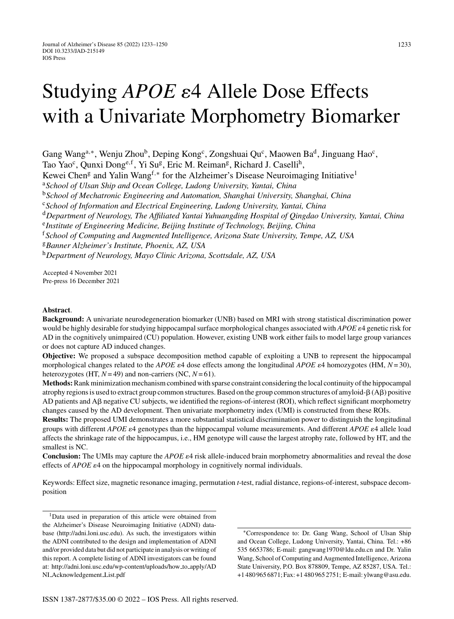# Studying *APOE*  $\varepsilon$ 4 Allele Dose Effects with a Univariate Morphometry Biomarker

Gang Wang<sup>a,∗</sup>, Wenju Zhou<sup>b</sup>, Deping Kong<sup>c</sup>, Zongshuai Qu<sup>c</sup>, Maowen Ba<sup>d</sup>, Jinguang Hao<sup>c</sup>, Tao Yao<sup>c</sup>, Qunxi Dong<sup>e, f</sup>, Yi Su<sup>g</sup>, Eric M. Reiman<sup>g</sup>, Richard J. Caselli<sup>h</sup>, Kewei Chen<sup>g</sup> and Yalin Wang<sup>f,\*</sup> for the Alzheimer's Disease Neuroimaging Initiative<sup>1</sup> <sup>a</sup>*School of Ulsan Ship and Ocean College, Ludong University, Yantai, China* <sup>b</sup>*School of Mechatronic Engineering and Automation, Shanghai University, Shanghai, China* <sup>c</sup>*School of Information and Electrical Engineering, Ludong University, Yantai, China* <sup>d</sup>*Department of Neurology, The Affiliated Yantai Yuhuangding Hospital of Qingdao University, Yantai, China* <sup>e</sup>*Institute of Engineering Medicine, Beijing Institute of Technology, Beijing, China* <sup>f</sup>*School of Computing and Augmented Intelligence, Arizona State University, Tempe, AZ, USA* <sup>g</sup>*Banner Alzheimer's Institute, Phoenix, AZ, USA* <sup>h</sup>*Department of Neurology, Mayo Clinic Arizona, Scottsdale, AZ, USA*

Accepted 4 November 2021 Pre-press 16 December 2021

# **Abstract**.

**Background:** A univariate neurodegeneration biomarker (UNB) based on MRI with strong statistical discrimination power would be highly desirable for studying hippocampal surface morphological changes associated with *APOE*  $e4$  genetic risk for AD in the cognitively unimpaired (CU) population. However, existing UNB work either fails to model large group variances or does not capture AD induced changes.

**Objective:** We proposed a subspace decomposition method capable of exploiting a UNB to represent the hippocampal morphological changes related to the *APOE*  $\epsilon$ 4 dose effects among the longitudinal *APOE*  $\epsilon$ 4 homozygotes (HM,  $N$ = 30), heterozygotes (HT, *N*= 49) and non-carriers (NC, *N*= 61).

**Methods:**Rank minimization mechanism combined with sparse constraint considering the local continuity of the hippocampal atrophy regions is used to extract group common structures. Based on the group common structures of amyloid- $\beta$  (A $\beta$ ) positive AD patients and  $\overrightarrow{AB}$  negative CU subjects, we identified the regions-of-interest (ROI), which reflect significant morphometry changes caused by the AD development. Then univariate morphometry index (UMI) is constructed from these ROIs.

**Results:** The proposed UMI demonstrates a more substantial statistical discrimination power to distinguish the longitudinal groups with different *APOE*  $\varepsilon$ 4 genotypes than the hippocampal volume measurements. And different *APOE*  $\varepsilon$ 4 allele load affects the shrinkage rate of the hippocampus, i.e., HM genotype will cause the largest atrophy rate, followed by HT, and the smallest is NC.

**Conclusion:** The UMIs may capture the *APOE*  $\varepsilon$ 4 risk allele-induced brain morphometry abnormalities and reveal the dose effects of  $APOE \varepsilon_4$  on the hippocampal morphology in cognitively normal individuals.

Keywords: Effect size, magnetic resonance imaging, permutation *t*-test, radial distance, regions-of-interest, subspace decomposition

<sup>1</sup>Data used in preparation of this article were obtained from the Alzheimer's Disease Neuroimaging Initiative (ADNI) database (<http://adni.loni.usc.edu>). As such, the investigators within the ADNI contributed to the design and implementation of ADNI and/or provided data but did not participate in analysis or writing of this report. A complete listing of ADNI investigators can be found at: [http://adni.loni.usc.edu/wp-content/uploads/how](http://adni.loni.usc.edu/wp-content/uploads/how_to_apply/ADNI_Acknowledgement_List.pdf) to apply/AD NI Acknowledgement List.pdf

<sup>∗</sup>Correspondence to: Dr. Gang Wang, School of Ulsan Ship and Ocean College, Ludong University, Yantai, China. Tel.: +86 535 6653786; E-mail: [gangwang1970@ldu.edu.cn](mailto:gangwang1970@ldu.edu.cn) and Dr. Yalin Wang, School of Computing and Augmented Intelligence, Arizona State University, P.O. Box 878809, Tempe, AZ 85287, USA. Tel.: +1 480 965 6871; Fax: +1 480 965 2751; E-mail: [ylwang@asu.edu](mailto:ylwang@asu.edu).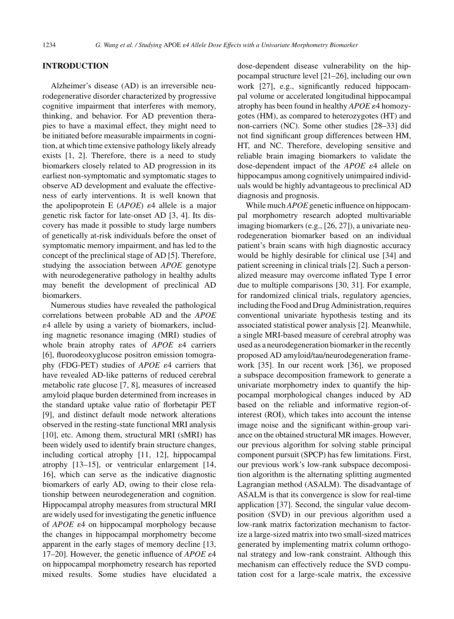## **INTRODUCTION**

Alzheimer's disease (AD) is an irreversible neurodegenerative disorder characterized by progressive cognitive impairment that interferes with memory, thinking, and behavior. For AD prevention therapies to have a maximal effect, they might need to be initiated before measurable impairments in cognition, at which time extensive pathology likely already exists [1, 2]. Therefore, there is a need to study biomarkers closely related to AD progression in its earliest non-symptomatic and symptomatic stages to observe AD development and evaluate the effectiveness of early interventions. It is well known that the apolipoprotein E  $(APOE)$   $\varepsilon$ 4 allele is a major genetic risk factor for late-onset AD [3, 4]. Its discovery has made it possible to study large numbers of genetically at-risk individuals before the onset of symptomatic memory impairment, and has led to the concept of the preclinical stage of AD [5]. Therefore, studying the association between *APOE* genotype with neurodegenerative pathology in healthy adults may benefit the development of preclinical AD biomarkers.

Numerous studies have revealed the pathological correlations between probable AD and the *APOE* -4 allele by using a variety of biomarkers, including magnetic resonance imaging (MRI) studies of whole brain atrophy rates of *APOE*  $\varepsilon$ 4 carriers [6], fluorodeoxyglucose positron emission tomography (FDG-PET) studies of *APOE*  $\varepsilon$ 4 carriers that have revealed AD-like patterns of reduced cerebral metabolic rate glucose [7, 8], measures of increased amyloid plaque burden determined from increases in the standard uptake value ratio of florbetapir PET [9], and distinct default mode network alterations observed in the resting-state functional MRI analysis [10], etc. Among them, structural MRI (sMRI) has been widely used to identify brain structure changes, including cortical atrophy [11, 12], hippocampal atrophy [13–15], or ventricular enlargement [14, 16], which can serve as the indicative diagnostic biomarkers of early AD, owing to their close relationship between neurodegeneration and cognition. Hippocampal atrophy measures from structural MRI are widely used for investigating the genetic influence of *APOE*  $\varepsilon$ 4 on hippocampal morphology because the changes in hippocampal morphometry become apparent in the early stages of memory decline [13, 17–20]. However, the genetic influence of  $APOE \varepsilon 4$ on hippocampal morphometry research has reported mixed results. Some studies have elucidated a

dose-dependent disease vulnerability on the hippocampal structure level [21–26], including our own work [27], e.g., significantly reduced hippocampal volume or accelerated longitudinal hippocampal atrophy has been found in healthy *APOE*  $\varepsilon$ 4 homozygotes (HM), as compared to heterozygotes (HT) and non-carriers (NC). Some other studies [28–33] did not find significant group differences between HM, HT, and NC. Therefore, developing sensitive and reliable brain imaging biomarkers to validate the dose-dependent impact of the *APOE*  $\varepsilon$ 4 allele on hippocampus among cognitively unimpaired individuals would be highly advantageous to preclinical AD diagnosis and prognosis.

While much*APOE*genetic influence on hippocampal morphometry research adopted multivariable imaging biomarkers (e.g., [26, 27]), a univariate neurodegeneration biomarker based on an individual patient's brain scans with high diagnostic accuracy would be highly desirable for clinical use [34] and patient screening in clinical trials [2]. Such a personalized measure may overcome inflated Type I error due to multiple comparisons [30, 31]. For example, for randomized clinical trials, regulatory agencies, including the Food and Drug Administration, requires conventional univariate hypothesis testing and its associated statistical power analysis [2]. Meanwhile, a single MRI-based measure of cerebral atrophy was used as a neurodegeneration biomarker in the recently proposed AD amyloid/tau/neurodegeneration framework [35]. In our recent work [36], we proposed a subspace decomposition framework to generate a univariate morphometry index to quantify the hippocampal morphological changes induced by AD based on the reliable and informative region-ofinterest (ROI), which takes into account the intense image noise and the significant within-group variance on the obtained structural MR images. However, our previous algorithm for solving stable principal component pursuit (SPCP) has few limitations. First, our previous work's low-rank subspace decomposition algorithm is the alternating splitting augmented Lagrangian method (ASALM). The disadvantage of ASALM is that its convergence is slow for real-time application [37]. Second, the singular value decomposition (SVD) in our previous algorithm used a low-rank matrix factorization mechanism to factorize a large-sized matrix into two small-sized matrices generated by implementing matrix column orthogonal strategy and low-rank constraint. Although this mechanism can effectively reduce the SVD computation cost for a large-scale matrix, the excessive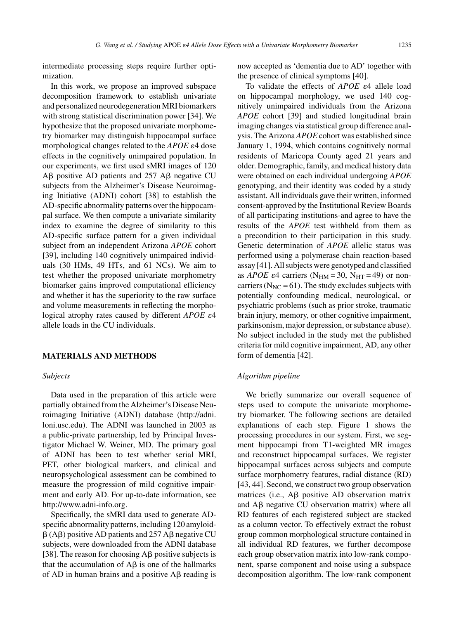intermediate processing steps require further optimization.

In this work, we propose an improved subspace decomposition framework to establish univariate and personalized neurodegeneration MRI biomarkers with strong statistical discrimination power [34]. We hypothesize that the proposed univariate morphometry biomarker may distinguish hippocampal surface morphological changes related to the  $APOE$   $\varepsilon$ 4 dose effects in the cognitively unimpaired population. In our experiments, we first used sMRI images of 120  $AB$  positive AD patients and 257 A $\beta$  negative CU subjects from the Alzheimer's Disease Neuroimaging Initiative (ADNI) cohort [38] to establish the AD-specific abnormality patterns over the hippocampal surface. We then compute a univariate similarity index to examine the degree of similarity to this AD-specific surface pattern for a given individual subject from an independent Arizona *APOE* cohort [39], including 140 cognitively unimpaired individuals (30 HMs, 49 HTs, and 61 NCs). We aim to test whether the proposed univariate morphometry biomarker gains improved computational efficiency and whether it has the superiority to the raw surface and volume measurements in reflecting the morphological atrophy rates caused by different *APOE*  $\varepsilon$ 4 allele loads in the CU individuals.

# **MATERIALS AND METHODS**

## *Subjects*

Data used in the preparation of this article were partially obtained from the Alzheimer's Disease Neuroimaging Initiative (ADNI) database ([http://adni.](http://adni.loni.usc.edu) loni.usc.edu). The ADNI was launched in 2003 as a public-private partnership, led by Principal Investigator Michael W. Weiner, MD. The primary goal of ADNI has been to test whether serial MRI, PET, other biological markers, and clinical and neuropsychological assessment can be combined to measure the progression of mild cognitive impairment and early AD. For up-to-date information, see <http://www.adni-info.org>.

Specifically, the sMRI data used to generate ADspecific abnormality patterns, including 120 amyloid-  $\beta$  (A $\beta$ ) positive AD patients and 257 A $\beta$  negative CU subjects, were downloaded from the ADNI database [38]. The reason for choosing  $\overrightarrow{AB}$  positive subjects is that the accumulation of  $\overrightarrow{AB}$  is one of the hallmarks of AD in human brains and a positive  $A\beta$  reading is now accepted as 'dementia due to AD' together with the presence of clinical symptoms [40].

To validate the effects of *APOE*  $\varepsilon$ 4 allele load on hippocampal morphology, we used 140 cognitively unimpaired individuals from the Arizona *APOE* cohort [39] and studied longitudinal brain imaging changes via statistical group difference analysis. The Arizona *APOE* cohort was established since January 1, 1994, which contains cognitively normal residents of Maricopa County aged 21 years and older. Demographic, family, and medical history data were obtained on each individual undergoing *APOE* genotyping, and their identity was coded by a study assistant. All individuals gave their written, informed consent-approved by the Institutional Review Boards of all participating institutions-and agree to have the results of the *APOE* test withheld from them as a precondition to their participation in this study. Genetic determination of *APOE* allelic status was performed using a polymerase chain reaction-based assay [41]. All subjects were genotyped and classified as *APOE*  $\varepsilon$ 4 carriers (N<sub>HM</sub> = 30, N<sub>HT</sub> = 49) or noncarriers ( $N_{NC}$  = 61). The study excludes subjects with potentially confounding medical, neurological, or psychiatric problems (such as prior stroke, traumatic brain injury, memory, or other cognitive impairment, parkinsonism, major depression, or substance abuse). No subject included in the study met the published criteria for mild cognitive impairment, AD, any other form of dementia [42].

## *Algorithm pipeline*

We briefly summarize our overall sequence of steps used to compute the univariate morphometry biomarker. The following sections are detailed explanations of each step. Figure 1 shows the processing procedures in our system. First, we segment hippocampi from T1-weighted MR images and reconstruct hippocampal surfaces. We register hippocampal surfaces across subjects and compute surface morphometry features, radial distance (RD) [43, 44]. Second, we construct two group observation matrices (i.e.,  $\overrightarrow{AB}$  positive  $\overrightarrow{AD}$  observation matrix and  $\overrightarrow{AB}$  negative CU observation matrix) where all RD features of each registered subject are stacked as a column vector. To effectively extract the robust group common morphological structure contained in all individual RD features, we further decompose each group observation matrix into low-rank component, sparse component and noise using a subspace decomposition algorithm. The low-rank component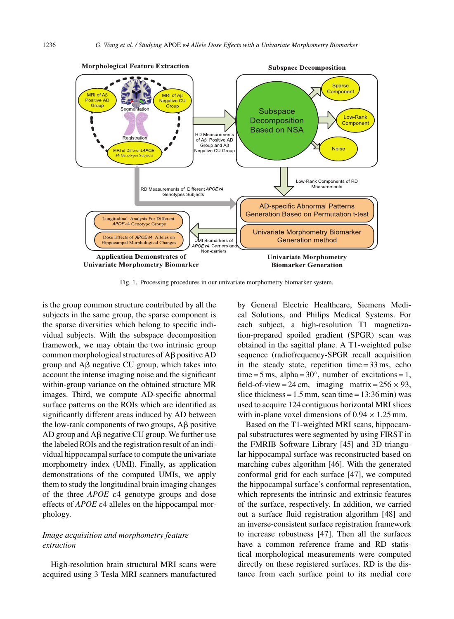

Fig. 1. Processing procedures in our univariate morphometry biomarker system.

is the group common structure contributed by all the subjects in the same group, the sparse component is the sparse diversities which belong to specific individual subjects. With the subspace decomposition framework, we may obtain the two intrinsic group common morphological structures of A<sub>B</sub> positive AD group and  $\overline{AB}$  negative CU group, which takes into account the intense imaging noise and the significant within-group variance on the obtained structure MR images. Third, we compute AD-specific abnormal surface patterns on the ROIs which are identified as significantly different areas induced by AD between the low-rank components of two groups,  $\overrightarrow{AB}$  positive AD group and  $\overline{AB}$  negative CU group. We further use the labeled ROIs and the registration result of an individual hippocampal surface to compute the univariate morphometry index (UMI). Finally, as application demonstrations of the computed UMIs, we apply them to study the longitudinal brain imaging changes of the three  $APOE$   $\varepsilon$ 4 genotype groups and dose effects of  $APOE$   $\varepsilon$ 4 alleles on the hippocampal morphology.

# *Image acquisition and morphometry feature extraction*

High-resolution brain structural MRI scans were acquired using 3 Tesla MRI scanners manufactured by General Electric Healthcare, Siemens Medical Solutions, and Philips Medical Systems. For each subject, a high-resolution T1 magnetization-prepared spoiled gradient (SPGR) scan was obtained in the sagittal plane. A T1-weighted pulse sequence (radiofrequency-SPGR recall acquisition in the steady state, repetition time  $= 33$  ms, echo time = 5 ms, alpha =  $30^\circ$ , number of excitations = 1, field-of-view = 24 cm, imaging matrix =  $256 \times 93$ , slice thickness =  $1.5$  mm, scan time =  $13:36$  min) was used to acquire 124 contiguous horizontal MRI slices with in-plane voxel dimensions of  $0.94 \times 1.25$  mm.

Based on the T1-weighted MRI scans, hippocampal substructures were segmented by using FIRST in the FMRIB Software Library [45] and 3D triangular hippocampal surface was reconstructed based on marching cubes algorithm [46]. With the generated conformal grid for each surface [47], we computed the hippocampal surface's conformal representation, which represents the intrinsic and extrinsic features of the surface, respectively. In addition, we carried out a surface fluid registration algorithm [48] and an inverse-consistent surface registration framework to increase robustness [47]. Then all the surfaces have a common reference frame and RD statistical morphological measurements were computed directly on these registered surfaces. RD is the distance from each surface point to its medial core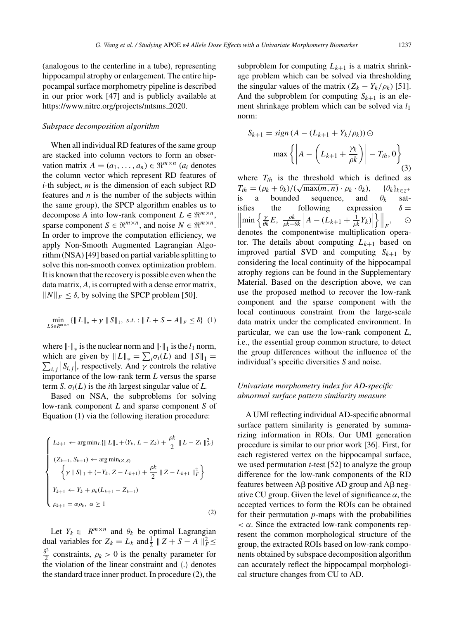(analogous to the centerline in a tube), representing hippocampal atrophy or enlargement. The entire hippocampal surface morphometry pipeline is described in our prior work [47] and is publicly available at [https://www.nitrc.org/projects/mtsms](https://www.nitrc.org/projects/mtsms_2020) 2020.

#### *Subspace decomposition algorithm*

When all individual RD features of the same group are stacked into column vectors to form an observation matrix  $A = (a_1, \ldots, a_n) \in \mathbb{R}^{m \times n}$  ( $a_i$  denotes the column vector which represent RD features of *i*-th subject, *m* is the dimension of each subject RD features and *n* is the number of the subjects within the same group), the SPCP algorithm enables us to decompose *A* into low-rank component  $L \in \mathbb{R}^{m \times n}$ , sparse component *S*  $\in \mathbb{R}^{m \times n}$ , and noise *N*  $\in \mathbb{R}^{m \times n}$ . In order to improve the computation efficiency, we apply Non-Smooth Augmented Lagrangian Algorithm (NSA) [49] based on partial variable splitting to solve this non-smooth convex optimization problem. It is known that the recovery is possible even when the data matrix, *A*, is corrupted with a dense error matrix,  $||N||_F \leq \delta$ , by solving the SPCP problem [50].

$$
\min_{L S \in R^{m \times n}} \{ ||L||_* + \gamma ||S||_1, \ s.t. : ||L + S - A||_F \le \delta \} \quad (1)
$$

where  $\|\cdot\|_*$  is the nuclear norm and  $\|\cdot\|_1$  is the  $l_1$  norm, which are given by  $||L||_* = \sum_i \sigma_i(L)$  and  $||S||_1 =$  $\sum_{i,j} |S_{i,j}|$ , respectively. And *γ* controls the relative importance of the low-rank term *L* versus the sparse term *S*.  $\sigma_i(L)$  is the *i*th largest singular value of *L*.

Based on NSA, the subproblems for solving low-rank component *L* and sparse component *S* of Equation (1) via the following iteration procedure:

$$
\begin{cases}\nL_{k+1} \leftarrow \arg \min_{L} \{ ||L||_{*} + \langle Y_{k}, L - Z_{k} \rangle + \frac{\rho k}{2} ||L - Z_{l}||_{F}^{2} \} \\
(Z_{k+1}, S_{k+1}) \leftarrow \arg \min_{(Z, S)} \\
\left\{ \gamma ||S||_{1} + \langle -Y_{k}, Z - L_{k+1} \rangle + \frac{\rho k}{2} ||Z - L_{k+1}||_{F}^{2} \right\} \\
Y_{k+1} \leftarrow Y_{k} + \rho_{k}(L_{k+1} - Z_{k+1}) \\
\rho_{k+1} = \alpha \rho_{k}, \ \alpha \ge 1\n\end{cases}
$$
\n(2)

Let  $Y_k \in R^{m \times n}$  and  $\theta_k$  be optimal Lagrangian dual variables for  $Z_k = L_k$  and  $\frac{1}{2}$   $\| Z + S - A \|^2_F \leq$  $\frac{\delta^2}{2}$  constraints,  $\rho_k > 0$  is the penalty parameter for the violation of the linear constraint and  $\langle . \rangle$  denotes the standard trace inner product. In procedure (2), the subproblem for computing  $L_{k+1}$  is a matrix shrinkage problem which can be solved via thresholding the singular values of the matrix  $(Z_k - Y_k/\rho_k)$  [51]. And the subproblem for computing  $S_{k+1}$  is an element shrinkage problem which can be solved via *l*<sup>1</sup> norm:

$$
S_{k+1} = sign(A - (L_{k+1} + Y_k/\rho_k)) \odot
$$

$$
\max \left\{ \left| A - \left( L_{k+1} + \frac{\gamma_k}{\rho k} \right) \right| - T_{th}, 0 \right\}
$$
(3)

where  $T_{th}$  is the threshold which is defined as *T*<sub>th</sub> =  $(\rho_k + \theta_k)/(\sqrt{\max(m, n)} \cdot \rho_k \cdot \theta_k), \quad {\theta_k}_{k \in \mathbb{Z}^+}$ is a bounded sequence, and  $\theta_k$  satisfies the following expression  $\left| \min \left\{ \frac{\gamma}{\theta k} E, \frac{\rho k}{\rho k + \theta k} \middle| A - (L_{k+1} + \frac{1}{\rho k} Y_k) \right\| \right.$  $\delta =$  $\left\| \cdot \right\|_F$ *,* denotes the componentwise multiplication operator. The details about computing  $L_{k+1}$  based on improved partial SVD and computing  $S_{k+1}$  by considering the local continuity of the hippocampal atrophy regions can be found in the Supplementary Material. Based on the description above, we can use the proposed method to recover the low-rank component and the sparse component with the local continuous constraint from the large-scale data matrix under the complicated environment. In particular, we can use the low-rank component *L*, i.e., the essential group common structure, to detect the group differences without the influence of the individual's specific diversities *S* and noise.

# *Univariate morphometry index for AD-specific abnormal surface pattern similarity measure*

A UMI reflecting individual AD-specific abnormal surface pattern similarity is generated by summarizing information in ROIs. Our UMI generation procedure is similar to our prior work [36]. First, for each registered vertex on the hippocampal surface, we used permutation *t*-test [52] to analyze the group difference for the low-rank components of the RD features between  $\overrightarrow{AB}$  positive  $\overrightarrow{AD}$  group and  $\overrightarrow{AB}$  negative CU group. Given the level of significance *α*, the accepted vertices to form the ROIs can be obtained for their permutation *p*-maps with the probabilities  $\alpha$ . Since the extracted low-rank components represent the common morphological structure of the group, the extracted ROIs based on low-rank components obtained by subspace decomposition algorithm can accurately reflect the hippocampal morphological structure changes from CU to AD.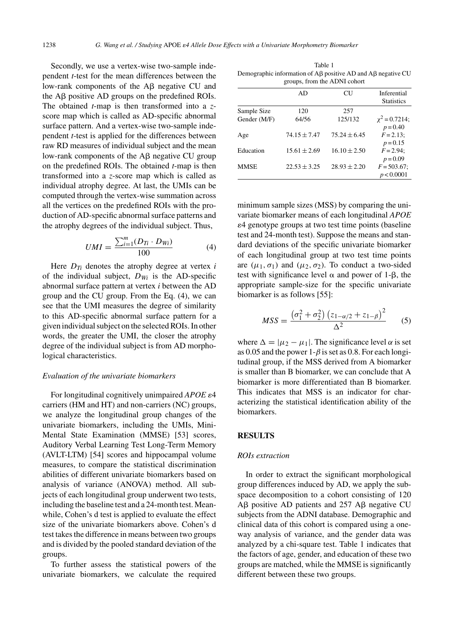Secondly, we use a vertex-wise two-sample independent *t*-test for the mean differences between the low-rank components of the A<sub>B</sub> negative CU and the  $\overrightarrow{AB}$  positive  $\overrightarrow{AD}$  groups on the predefined ROIs. The obtained *t*-map is then transformed into a *z*score map which is called as AD-specific abnormal surface pattern. And a vertex-wise two-sample independent *t*-test is applied for the differences between raw RD measures of individual subject and the mean low-rank components of the  $\overline{AB}$  negative CU group on the predefined ROIs. The obtained *t*-map is then transformed into a *z*-score map which is called as individual atrophy degree. At last, the UMIs can be computed through the vertex-wise summation across all the vertices on the predefined ROIs with the production of AD-specific abnormal surface patterns and the atrophy degrees of the individual subject. Thus,

$$
UMI = \frac{\sum_{i=1}^{m} (D_{Ti} \cdot D_{Wi})}{100} \tag{4}
$$

Here  $D_{Ti}$  denotes the atrophy degree at vertex *i* of the individual subject,  $D_{Wi}$  is the AD-specific abnormal surface pattern at vertex *i* between the AD group and the CU group. From the Eq. (4), we can see that the UMI measures the degree of similarity to this AD-specific abnormal surface pattern for a given individual subject on the selected ROIs. In other words, the greater the UMI, the closer the atrophy degree of the individual subject is from AD morphological characteristics.

#### *Evaluation of the univariate biomarkers*

For longitudinal cognitively unimpaired *APOE*  $\varepsilon$ 4 carriers (HM and HT) and non-carriers (NC) groups, we analyze the longitudinal group changes of the univariate biomarkers, including the UMIs, Mini-Mental State Examination (MMSE) [53] scores, Auditory Verbal Learning Test Long-Term Memory (AVLT-LTM) [54] scores and hippocampal volume measures, to compare the statistical discrimination abilities of different univariate biomarkers based on analysis of variance (ANOVA) method. All subjects of each longitudinal group underwent two tests, including the baseline test and a 24-month test. Meanwhile, Cohen's d test is applied to evaluate the effect size of the univariate biomarkers above. Cohen's d test takes the difference in means between two groups and is divided by the pooled standard deviation of the groups.

To further assess the statistical powers of the univariate biomarkers, we calculate the required

Table 1 Demographic information of  $A\beta$  positive AD and  $A\beta$  negative CU groups, from the ADNI cohort

|              | AD               | CU               | Inferential        |
|--------------|------------------|------------------|--------------------|
|              |                  |                  | <b>Statistics</b>  |
| Sample Size  | 120              | 257              |                    |
| Gender (M/F) | 64/56            | 125/132          | $\chi^2$ = 0.7214; |
|              |                  |                  | $p = 0.40$         |
| Age          | $74.15 \pm 7.47$ | $75.24 \pm 6.45$ | $F = 2.13$ :       |
|              |                  |                  | $p = 0.15$         |
| Education    | $15.61 \pm 2.69$ | $16.10 \pm 2.50$ | $F = 2.94$ :       |
|              |                  |                  | $p = 0.09$         |
| MMSE         | $22.53 + 3.25$   | $28.93 \pm 2.20$ | $F = 503.67$ ;     |
|              |                  |                  | p < 0.0001         |

minimum sample sizes (MSS) by comparing the univariate biomarker means of each longitudinal *APOE* -4 genotype groups at two test time points (baseline test and 24-month test). Suppose the means and standard deviations of the specific univariate biomarker of each longitudinal group at two test time points are  $(\mu_1, \sigma_1)$  and  $(\mu_2, \sigma_2)$ . To conduct a two-sided test with significance level  $\alpha$  and power of 1- $\beta$ , the appropriate sample-size for the specific univariate biomarker is as follows [55]:

$$
MSS = \frac{(\sigma_1^2 + \sigma_2^2) (z_{1-\alpha/2} + z_{1-\beta})^2}{\Delta^2}
$$
 (5)

where  $\Delta = |\mu_2 - \mu_1|$ . The significance level  $\alpha$  is set as 0.05 and the power 1-*β* is set as 0.8. For each longitudinal group, if the MSS derived from A biomarker is smaller than B biomarker, we can conclude that A biomarker is more differentiated than B biomarker. This indicates that MSS is an indicator for characterizing the statistical identification ability of the biomarkers.

## **RESULTS**

#### *ROIs extraction*

In order to extract the significant morphological group differences induced by AD, we apply the subspace decomposition to a cohort consisting of 120  $AB$  positive AD patients and 257 A $\beta$  negative CU subjects from the ADNI database. Demographic and clinical data of this cohort is compared using a oneway analysis of variance, and the gender data was analyzed by a chi-square test. Table 1 indicates that the factors of age, gender, and education of these two groups are matched, while the MMSE is significantly different between these two groups.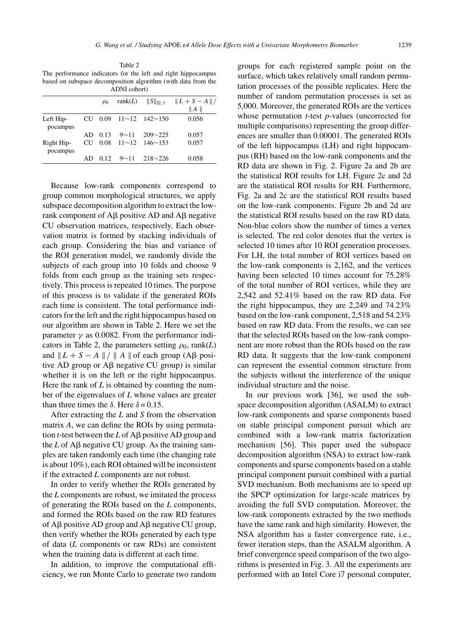Table 2 The performance indicators for the left and right hippocampus based on subspace decomposition algorithm (with data from the ADNI cohort)

|                        |           | $\rho_0$ | rank $(L)$  | $  S  _{\Omega,1}$                 | $  L+S-A  /$ |
|------------------------|-----------|----------|-------------|------------------------------------|--------------|
|                        |           |          |             |                                    | A            |
| Left Hip-<br>pocampus  | <b>CU</b> |          |             | $0.09$ $11 \sim 12$ $142 \sim 150$ | 0.056        |
|                        | AD        | 0.13     | $9 \sim 11$ | $209 - 225$                        | 0.057        |
| Right Hip-<br>pocampus | <b>CU</b> | 0.08     |             | $11 \sim 12$ $146 \sim 153$        | 0.057        |
|                        | AD        | 0.12     | $9 \sim 11$ | $218 \sim 226$                     | 0.058        |

Because low-rank components correspond to group common morphological structures, we apply subspace decomposition algorithm to extract the lowrank component of  $\overrightarrow{AB}$  positive  $\overrightarrow{AD}$  and  $\overrightarrow{AB}$  negative CU observation matrices, respectively. Each observation matrix is formed by stacking individuals of each group. Considering the bias and variance of the ROI generation model, we randomly divide the subjects of each group into 10 folds and choose 9 folds from each group as the training sets respectively. This process is repeated 10 times. The purpose of this process is to validate if the generated ROIs each time is consistent. The total performance indicators for the left and the right hippocampus based on our algorithm are shown in Table 2. Here we set the parameter  $\gamma$  as 0.0082. From the performance indicators in Table 2, the parameters setting  $\rho_0$ , rank(*L*) and  $\|L + S - A\| / \|A\|$  of each group (A $\beta$  positive AD group or  $\overrightarrow{AB}$  negative CU group) is similar whether it is on the left or the right hippocampus. Here the rank of *L* is obtained by counting the number of the eigenvalues of *L* whose values are greater than three times the  $δ$ . Here  $δ = 0.15$ .

After extracting the *L* and *S* from the observation matrix *A*, we can define the ROIs by using permutation *t*-test between the  $L$  of A $\beta$  positive AD group and the  $L$  of A $\beta$  negative CU group. As the training samples are taken randomly each time (the changing rate is about 10%), each ROI obtained will be inconsistent if the extracted *L* components are not robust.

In order to verify whether the ROIs generated by the *L* components are robust, we imitated the process of generating the ROIs based on the *L* components, and formed the ROIs based on the raw RD features of  $\overrightarrow{AB}$  positive  $\overrightarrow{AD}$  group and  $\overrightarrow{AB}$  negative CU group, then verify whether the ROIs generated by each type of data (*L* components or raw RDs) are consistent when the training data is different at each time.

In addition, to improve the computational efficiency, we run Monte Carlo to generate two random groups for each registered sample point on the surface, which takes relatively small random permutation processes of the possible replicates. Here the number of random permutation processes is set as 5,000. Moreover, the generated ROIs are the vertices whose permutation *t*-test *p*-values (uncorrected for multiple comparisons) representing the group differences are smaller than 0.00001. The generated ROIs of the left hippocampus (LH) and right hippocampus (RH) based on the low-rank components and the RD data are shown in Fig. 2. Figure 2a and 2b are the statistical ROI results for LH. Figure 2c and 2d are the statistical ROI results for RH. Furthermore, Fig. 2a and 2c are the statistical ROI results based on the low-rank components. Figure 2b and 2d are the statistical ROI results based on the raw RD data. Non-blue colors show the number of times a vertex is selected. The red color denotes that the vertex is selected 10 times after 10 ROI generation processes. For LH, the total number of ROI vertices based on the low-rank components is 2,162, and the vertices having been selected 10 times account for 75.28% of the total number of ROI vertices, while they are 2,542 and 52.41% based on the raw RD data. For the right hippocampus, they are 2,249 and 74.23% based on the low-rank component, 2,518 and 54.23% based on raw RD data. From the results, we can see that the selected ROIs based on the low-rank component are more robust than the ROIs based on the raw RD data. It suggests that the low-rank component can represent the essential common structure from the subjects without the interference of the unique individual structure and the noise.

In our previous work [36], we used the subspace decomposition algorithm (ASALM) to extract low-rank components and sparse components based on stable principal component pursuit which are combined with a low-rank matrix factorization mechanism [56]. This paper used the subspace decomposition algorithm (NSA) to extract low-rank components and sparse components based on a stable principal component pursuit combined with a partial SVD mechanism. Both mechanisms are to speed up the SPCP optimization for large-scale matrices by avoiding the full SVD computation. Moreover, the low-rank components extracted by the two methods have the same rank and high similarity. However, the NSA algorithm has a faster convergence rate, i.e., fewer iteration steps, than the ASALM algorithm. A brief convergence speed comparison of the two algorithms is presented in Fig. 3. All the experiments are performed with an Intel Core i7 personal computer,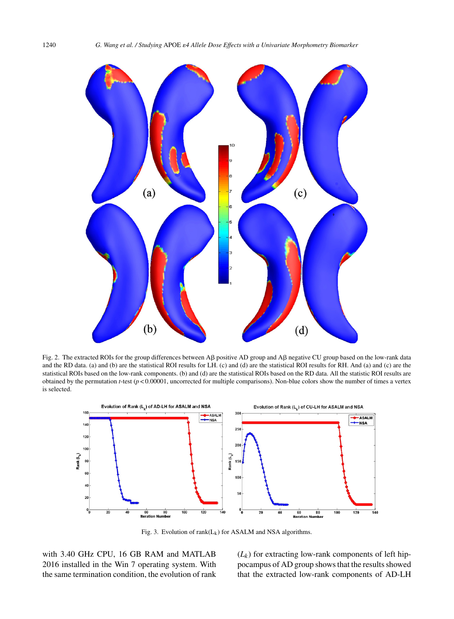

Fig. 2. The extracted ROIs for the group differences between A $\beta$  positive AD group and A $\beta$  negative CU group based on the low-rank data and the RD data. (a) and (b) are the statistical ROI results for LH. (c) and (d) are the statistical ROI results for RH. And (a) and (c) are the statistical ROIs based on the low-rank components. (b) and (d) are the statistical ROIs based on the RD data. All the statistic ROI results are obtained by the permutation  $t$ -test ( $p < 0.00001$ , uncorrected for multiple comparisons). Non-blue colors show the number of times a vertex is selected.



Fig. 3. Evolution of  $rank(L_k)$  for ASALM and NSA algorithms.

with 3.40 GHz CPU, 16 GB RAM and MATLAB 2016 installed in the Win 7 operating system. With the same termination condition, the evolution of rank

 $(L_k)$  for extracting low-rank components of left hippocampus of AD group shows that the results showed that the extracted low-rank components of AD-LH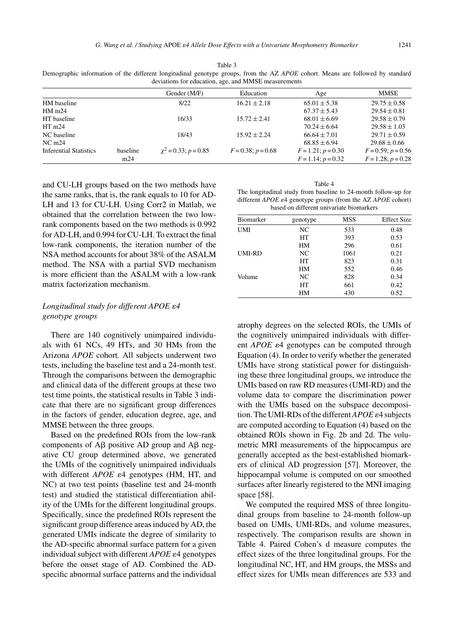|                               |          | Gender (M/F)              | Education            | Age                     | MMSE                    |
|-------------------------------|----------|---------------------------|----------------------|-------------------------|-------------------------|
| HM baseline                   |          | 8/22                      | $16.21 \pm 2.18$     | $65.01 \pm 5.38$        | $29.75 \pm 0.58$        |
| HM <sub>m24</sub>             |          |                           |                      | $67.37 \pm 5.43$        | $29.54 \pm 0.81$        |
| HT baseline                   |          | 16/33                     | $15.72 \pm 2.41$     | $68.01 \pm 6.69$        | $29.58 \pm 0.79$        |
| HTm24                         |          |                           |                      | $70.24 \pm 6.64$        | $29.58 \pm 1.03$        |
| NC baseline                   |          | 18/43                     | $15.92 \pm 2.24$     | $66.64 \pm 7.01$        | $29.71 \pm 0.59$        |
| NC <sub>m24</sub>             |          |                           |                      | $68.85 \pm 6.94$        | $29.68 \pm 0.66$        |
| <b>Inferential Statistics</b> | baseline | $\chi^2$ = 0.33; p = 0.85 | $F = 0.38; p = 0.68$ | $F = 1.21$ ; $p = 0.30$ | $F = 0.59$ ; $p = 0.56$ |
|                               | m24      |                           |                      | $F = 1.14$ ; $p = 0.32$ | $F = 1.28$ ; $p = 0.28$ |

and CU-LH groups based on the two methods have the same ranks, that is, the rank equals to 10 for AD-LH and 13 for CU-LH. Using Corr2 in Matlab, we obtained that the correlation between the two lowrank components based on the two methods is 0.992 for AD-LH, and 0.994 for CU-LH. To extract the final low-rank components, the iteration number of the NSA method accounts for about 38% of the ASALM method. The NSA with a partial SVD mechanism is more efficient than the ASALM with a low-rank matrix factorization mechanism.

# Longitudinal study for different APOE  $\varepsilon$ 4 *genotype groups*

There are 140 cognitively unimpaired individuals with 61 NCs, 49 HTs, and 30 HMs from the Arizona *APOE* cohort. All subjects underwent two tests, including the baseline test and a 24-month test. Through the comparisons between the demographic and clinical data of the different groups at these two test time points, the statistical results in Table 3 indicate that there are no significant group differences in the factors of gender, education degree, age, and MMSE between the three groups.

Based on the predefined ROIs from the low-rank components of  $\overrightarrow{AB}$  positive  $\overrightarrow{AD}$  group and  $\overrightarrow{AB}$  negative CU group determined above, we generated the UMIs of the cognitively unimpaired individuals with different *APOE*  $\varepsilon$ 4 genotypes (HM, HT, and NC) at two test points (baseline test and 24-month test) and studied the statistical differentiation ability of the UMIs for the different longitudinal groups. Specifically, since the predefined ROIs represent the significant group difference areas induced by AD, the generated UMIs indicate the degree of similarity to the AD-specific abnormal surface pattern for a given individual subject with different *APOE*  $\varepsilon$ 4 genotypes before the onset stage of AD. Combined the ADspecific abnormal surface patterns and the individual

| Table 4                                                                                |
|----------------------------------------------------------------------------------------|
| The longitudinal study from baseline to 24-month follow-up for                         |
| different <i>APOE</i> $\varepsilon$ 4 genotype groups (from the AZ <i>APOE</i> cohort) |
| based on different univariate biomarkers                                               |

| <b>Biomarker</b> | genotype | MSS  | <b>Effect Size</b> |
|------------------|----------|------|--------------------|
| UMI              | NC       | 533  | 0.48               |
|                  | HT       | 393  | 0.53               |
|                  | HМ       | 296  | 0.61               |
| UMI-RD           | NC       | 1061 | 0.21               |
|                  | HT       | 823  | 0.31               |
|                  | HМ       | 552  | 0.46               |
| Volume           | NC       | 828  | 0.34               |
|                  | HT       | 661  | 0.42               |
|                  | HМ       | 430  | 0.52               |

atrophy degrees on the selected ROIs, the UMIs of the cognitively unimpaired individuals with different *APOE*  $\varepsilon$ 4 genotypes can be computed through Equation (4). In order to verify whether the generated UMIs have strong statistical power for distinguishing these three longitudinal groups, we introduce the UMIs based on raw RD measures (UMI-RD) and the volume data to compare the discrimination power with the UMIs based on the subspace decomposition. The UMI-RDs of the different  $APOE \varepsilon 4$  subjects are computed according to Equation (4) based on the obtained ROIs shown in Fig. 2b and 2d. The volumetric MRI measurements of the hippocampus are generally accepted as the best-established biomarkers of clinical AD progression [57]. Moreover, the hippocampal volume is computed on our smoothed surfaces after linearly registered to the MNI imaging space [58].

We computed the required MSS of three longitudinal groups from baseline to 24-month follow-up based on UMIs, UMI-RDs, and volume measures, respectively. The comparison results are shown in Table 4. Paired Cohen's d measure computes the effect sizes of the three longitudinal groups. For the longitudinal NC, HT, and HM groups, the MSSs and effect sizes for UMIs mean differences are 533 and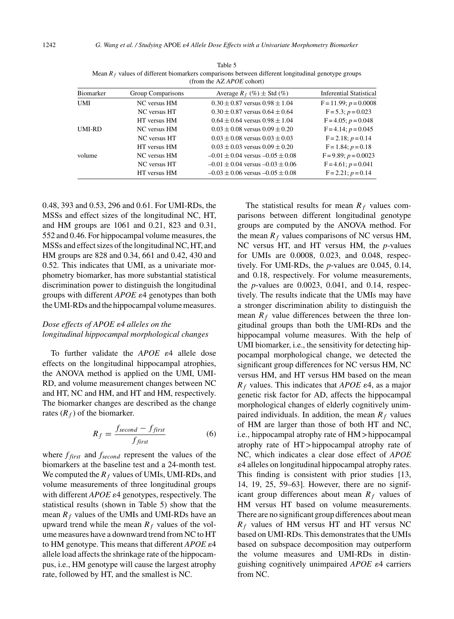| Biomarker | Group Comparisons | Average $R_f$ (%) $\pm$ Std (%)          | <b>Inferential Statistical</b> |
|-----------|-------------------|------------------------------------------|--------------------------------|
| UMI       | NC versus HM      | $0.30 \pm 0.87$ versus $0.98 \pm 1.04$   | $F = 11.99$ ; $p = 0.0008$     |
|           | NC versus HT      | $0.30 \pm 0.87$ versus $0.64 \pm 0.64$   | $F = 5.3$ ; $p = 0.023$        |
|           | HT versus HM      | $0.64 \pm 0.64$ versus $0.98 \pm 1.04$   | $F = 4.05$ ; $p = 0.048$       |
| UMI-RD    | NC versus HM      | $0.03 \pm 0.08$ versus $0.09 \pm 0.20$   | $F = 4.14$ ; $p = 0.045$       |
|           | NC versus HT      | $0.03 \pm 0.08$ versus $0.03 \pm 0.03$   | $F = 2.18$ ; $p = 0.14$        |
|           | HT versus HM      | $0.03 \pm 0.03$ versus $0.09 \pm 0.20$   | $F = 1.84$ ; $p = 0.18$        |
| volume    | NC versus HM      | $-0.01 \pm 0.04$ versus $-0.05 \pm 0.08$ | $F = 9.89; p = 0.0023$         |
|           | NC versus HT      | $-0.01 \pm 0.04$ versus $-0.03 \pm 0.06$ | $F = 4.61$ ; $p = 0.041$       |
|           | HT versus HM      | $-0.03 \pm 0.06$ versus $-0.05 \pm 0.08$ | $F = 2.21$ ; $p = 0.14$        |
|           |                   |                                          |                                |

Table 5 Mean *R<sup>f</sup>* values of different biomarkers comparisons between different longitudinal genotype groups (from the AZ *APOE* cohort)

0.48, 393 and 0.53, 296 and 0.61. For UMI-RDs, the MSSs and effect sizes of the longitudinal NC, HT, and HM groups are 1061 and 0.21, 823 and 0.31, 552 and 0.46. For hippocampal volume measures, the MSSs and effect sizes of the longitudinal NC, HT, and HM groups are 828 and 0.34, 661 and 0.42, 430 and 0.52. This indicates that UMI, as a univariate morphometry biomarker, has more substantial statistical discrimination power to distinguish the longitudinal groups with different *APOE*  $\varepsilon$ 4 genotypes than both the UMI-RDs and the hippocampal volume measures.

# Dose effects of APOE ε4 alleles on the *longitudinal hippocampal morphological changes*

To further validate the  $APOE$   $\varepsilon$ <sup>4</sup> allele dose effects on the longitudinal hippocampal atrophies, the ANOVA method is applied on the UMI, UMI-RD, and volume measurement changes between NC and HT, NC and HM, and HT and HM, respectively. The biomarker changes are described as the change rates  $(R_f)$  of the biomarker.

$$
R_f = \frac{f_{second} - f_{first}}{f_{first}}
$$
 (6)

where *ffirst* and *fsecond* represent the values of the biomarkers at the baseline test and a 24-month test. We computed the  $R_f$  values of UMIs, UMI-RDs, and volume measurements of three longitudinal groups with different *APOE*  $\varepsilon$ 4 genotypes, respectively. The statistical results (shown in Table 5) show that the mean  $R_f$  values of the UMIs and UMI-RDs have an upward trend while the mean  $R_f$  values of the volume measures have a downward trend from NC to HT to HM genotype. This means that different  $APOE$   $\varepsilon$ <sup>4</sup> allele load affects the shrinkage rate of the hippocampus, i.e., HM genotype will cause the largest atrophy rate, followed by HT, and the smallest is NC.

The statistical results for mean  $R_f$  values comparisons between different longitudinal genotype groups are computed by the ANOVA method. For the mean  $R_f$  values comparisons of NC versus HM, NC versus HT, and HT versus HM, the *p*-values for UMIs are 0.0008, 0.023, and 0.048, respectively. For UMI-RDs, the *p*-values are 0.045, 0.14, and 0.18, respectively. For volume measurements, the *p*-values are 0.0023, 0.041, and 0.14, respectively. The results indicate that the UMIs may have a stronger discrimination ability to distinguish the mean  $R_f$  value differences between the three longitudinal groups than both the UMI-RDs and the hippocampal volume measures. With the help of UMI biomarker, i.e., the sensitivity for detecting hippocampal morphological change, we detected the significant group differences for NC versus HM, NC versus HM, and HT versus HM based on the mean  $R_f$  values. This indicates that *APOE*  $\varepsilon$ 4, as a major genetic risk factor for AD, affects the hippocampal morphological changes of elderly cognitively unimpaired individuals. In addition, the mean  $R_f$  values of HM are larger than those of both HT and NC, i.e., hippocampal atrophy rate of HM > hippocampal atrophy rate of HT > hippocampal atrophy rate of NC, which indicates a clear dose effect of *APOE*  $\varepsilon$ 4 alleles on longitudinal hippocampal atrophy rates. This finding is consistent with prior studies [13, 14, 19, 25, 59–63]. However, there are no significant group differences about mean *R<sup>f</sup>* values of HM versus HT based on volume measurements. There are no significant group differences about mean *R<sup>f</sup>* values of HM versus HT and HT versus NC based on UMI-RDs. This demonstrates that the UMIs based on subspace decomposition may outperform the volume measures and UMI-RDs in distinguishing cognitively unimpaired *APOE*  $\varepsilon$ 4 carriers from NC.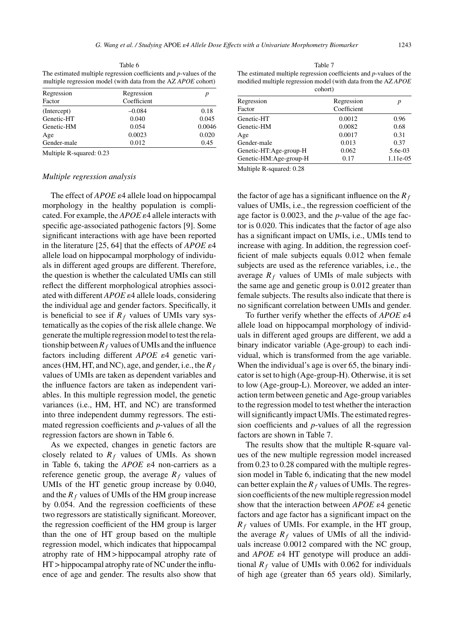Table 6 The estimated multiple regression coefficients and *p*-values of the multiple regression model (with data from the AZ *APOE* cohort)

| Regression<br>Factor                                                             | Regression<br>Coefficient |        |
|----------------------------------------------------------------------------------|---------------------------|--------|
|                                                                                  |                           |        |
| (Intercept)                                                                      | $-0.084$                  | 0.18   |
| Genetic-HT                                                                       | 0.040                     | 0.045  |
| Genetic-HM                                                                       | 0.054                     | 0.0046 |
| Age                                                                              | 0.0023                    | 0.020  |
| Gender-male                                                                      | 0.012                     | 0.45   |
| $\mathbf{M}$ 1. $\mathbf{I}$ 1. $\mathbf{D}$ 1. $\mathbf{A}\mathbf{A}\mathbf{A}$ |                           |        |

Table 7 The estimated multiple regression coefficients and *p*-values of the modified multiple regression model (with data from the AZ *APOE* cohort)

| Regression             | Regression  | р        |
|------------------------|-------------|----------|
| Factor                 | Coefficient |          |
| Genetic-HT             | 0.0012      | 0.96     |
| Genetic-HM             | 0.0082      | 0.68     |
| Age                    | 0.0017      | 0.31     |
| Gender-male            | 0.013       | 0.37     |
| Genetic-HT:Age-group-H | 0.062       | 5.6e-03  |
| Genetic-HM:Age-group-H | 0.17        | 1.11e-05 |

Multiple R-squared: 0.23

## *Multiple regression analysis*

The effect of  $APOE$   $\varepsilon$ 4 allele load on hippocampal morphology in the healthy population is complicated. For example, the *APOE*  $\varepsilon$ 4 allele interacts with specific age-associated pathogenic factors [9]. Some significant interactions with age have been reported in the literature  $[25, 64]$  that the effects of *APOE*  $\varepsilon$ 4 allele load on hippocampal morphology of individuals in different aged groups are different. Therefore, the question is whether the calculated UMIs can still reflect the different morphological atrophies associated with different *APOE*  $\varepsilon$ 4 allele loads, considering the individual age and gender factors. Specifically, it is beneficial to see if  $R_f$  values of UMIs vary systematically as the copies of the risk allele change. We generate the multiple regression model to test the relationship between  $R_f$  values of UMIs and the influence factors including different *APOE*  $\varepsilon$ 4 genetic variances (HM, HT, and NC), age, and gender, i.e., the *R<sup>f</sup>* values of UMIs are taken as dependent variables and the influence factors are taken as independent variables. In this multiple regression model, the genetic variances (i.e., HM, HT, and NC) are transformed into three independent dummy regressors. The estimated regression coefficients and *p*-values of all the regression factors are shown in Table 6.

As we expected, changes in genetic factors are closely related to  $R_f$  values of UMIs. As shown in Table 6, taking the  $APOE$   $\varepsilon$ 4 non-carriers as a reference genetic group, the average  $R_f$  values of UMIs of the HT genetic group increase by 0.040, and the  $R_f$  values of UMIs of the HM group increase by 0.054. And the regression coefficients of these two regressors are statistically significant. Moreover, the regression coefficient of the HM group is larger than the one of HT group based on the multiple regression model, which indicates that hippocampal atrophy rate of HM > hippocampal atrophy rate of HT > hippocampal atrophy rate of NC under the influence of age and gender. The results also show that

Multiple R-squared: 0.28

the factor of age has a significant influence on the *R<sup>f</sup>* values of UMIs, i.e., the regression coefficient of the age factor is 0.0023, and the *p*-value of the age factor is 0.020. This indicates that the factor of age also has a significant impact on UMIs, i.e., UMIs tend to increase with aging. In addition, the regression coefficient of male subjects equals 0.012 when female subjects are used as the reference variables, i.e., the average  $R_f$  values of UMIs of male subjects with the same age and genetic group is 0.012 greater than female subjects. The results also indicate that there is no significant correlation between UMIs and gender.

To further verify whether the effects of  $APOE$   $\varepsilon$ <sup>4</sup> allele load on hippocampal morphology of individuals in different aged groups are different, we add a binary indicator variable (Age-group) to each individual, which is transformed from the age variable. When the individual's age is over 65, the binary indicator is set to high (Age-group-H). Otherwise, it is set to low (Age-group-L). Moreover, we added an interaction term between genetic and Age-group variables to the regression model to test whether the interaction will significantly impact UMIs. The estimated regression coefficients and *p*-values of all the regression factors are shown in Table 7.

The results show that the multiple R-square values of the new multiple regression model increased from 0.23 to 0.28 compared with the multiple regression model in Table 6, indicating that the new model can better explain the  $R_f$  values of UMIs. The regression coefficients of the new multiple regression model show that the interaction between  $APOE$   $\varepsilon$ 4 genetic factors and age factor has a significant impact on the  $R_f$  values of UMIs. For example, in the HT group, the average  $R_f$  values of UMIs of all the individuals increase 0.0012 compared with the NC group, and *APOE*  $\varepsilon$ 4 HT genotype will produce an additional  $R_f$  value of UMIs with 0.062 for individuals of high age (greater than 65 years old). Similarly,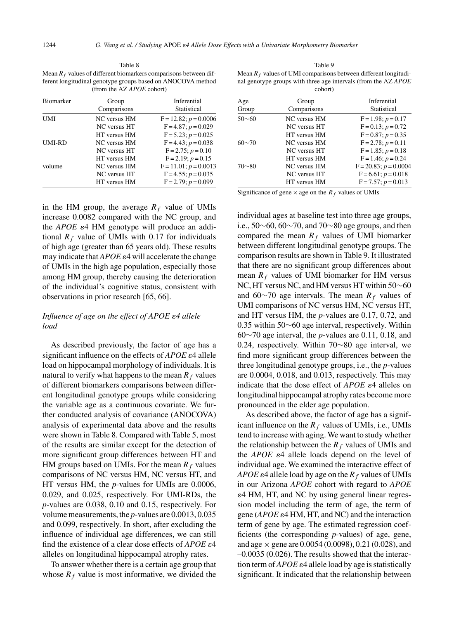Table 8 Mean  $R_f$  values of different biomarkers comparisons between different longitudinal genotype groups based on ANOCOVA method (from the AZ *APOE* cohort)

| <b>Biomarker</b> | Group               | Inferential                |
|------------------|---------------------|----------------------------|
|                  | Comparisons         | Statistical                |
| UMI              | NC versus HM        | $F = 12.82$ ; $p = 0.0006$ |
|                  | NC versus HT        | $F = 4.87; p = 0.029$      |
|                  | HT versus HM        | $F = 5.23$ ; $p = 0.025$   |
| UMI-RD           | <b>NC</b> versus HM | $F = 4.43$ ; $p = 0.038$   |
|                  | NC versus HT        | $F = 2.75$ ; $p = 0.10$    |
|                  | HT versus HM        | $F = 2.19$ ; $p = 0.15$    |
| volume           | NC versus HM        | $F = 11.01$ ; $p = 0.0013$ |
|                  | <b>NC</b> versus HT | $F = 4.55$ ; $p = 0.035$   |
|                  | HT versus HM        | $F = 2.79$ ; $p = 0.099$   |

in the HM group, the average  $R_f$  value of UMIs increase 0.0082 compared with the NC group, and the *APOE*  $\varepsilon$ 4 HM genotype will produce an additional  $R_f$  value of UMIs with 0.17 for individuals of high age (greater than 65 years old). These results may indicate that  $APOE \varepsilon 4$  will accelerate the change of UMIs in the high age population, especially those among HM group, thereby causing the deterioration of the individual's cognitive status, consistent with observations in prior research [65, 66].

# Influence of age on the effect of APOE  $\varepsilon$ 4 allele *load*

As described previously, the factor of age has a significant influence on the effects of *APOE*  $\varepsilon$ 4 allele load on hippocampal morphology of individuals. It is natural to verify what happens to the mean  $R_f$  values of different biomarkers comparisons between different longitudinal genotype groups while considering the variable age as a continuous covariate. We further conducted analysis of covariance (ANOCOVA) analysis of experimental data above and the results were shown in Table 8. Compared with Table 5, most of the results are similar except for the detection of more significant group differences between HT and HM groups based on UMIs. For the mean  $R_f$  values comparisons of NC versus HM, NC versus HT, and HT versus HM, the *p*-values for UMIs are 0.0006, 0.029, and 0.025, respectively. For UMI-RDs, the *p*-values are 0.038, 0.10 and 0.15, respectively. For volume measurements, the *p*-values are 0.0013, 0.035 and 0.099, respectively. In short, after excluding the influence of individual age differences, we can still find the existence of a clear dose effects of  $APOE \varepsilon 4$ alleles on longitudinal hippocampal atrophy rates.

To answer whether there is a certain age group that whose  $R_f$  value is most informative, we divided the

Table 9 Mean  $R_f$  values of UMI comparisons between different longitudinal genotype groups with three age intervals (from the AZ *APOE* cohort)

| Age          | Group               | Inferential                |
|--------------|---------------------|----------------------------|
| Group        | Comparisons         | Statistical                |
| $50\sim 60$  | <b>NC</b> versus HM | $F = 1.98; p = 0.17$       |
|              | NC versus HT        | $F = 0.13$ ; $p = 0.72$    |
|              | HT versus HM        | $F = 0.87; p = 0.35$       |
| $60 \sim 70$ | NC versus HM        | $F = 2.78$ ; $p = 0.11$    |
|              | <b>NC</b> versus HT | $F = 1.85$ ; $p = 0.18$    |
|              | HT versus HM        | $F = 1.46$ ; $p = 0.24$    |
| $70\neg 80$  | <b>NC</b> versus HM | $F = 20.83$ ; $p = 0.0004$ |
|              | <b>NC</b> versus HT | $F = 6.61$ ; $p = 0.018$   |
|              | HT versus HM        | $F = 7.57$ ; $p = 0.013$   |

Significance of gene  $\times$  age on the  $R_f$  values of UMIs

individual ages at baseline test into three age groups, i.e., 50∼60, 60∼70, and 70∼80 age groups, and then compared the mean  $R_f$  values of UMI biomarker between different longitudinal genotype groups. The comparison results are shown in Table 9. It illustrated that there are no significant group differences about mean  $R_f$  values of UMI biomarker for HM versus NC, HT versus NC, and HM versus HT within 50∼60 and 60∼70 age intervals. The mean *R<sup>f</sup>* values of UMI comparisons of NC versus HM, NC versus HT, and HT versus HM, the *p*-values are 0.17, 0.72, and 0.35 within 50∼60 age interval, respectively. Within 60∼70 age interval, the *p*-values are 0.11, 0.18, and 0.24, respectively. Within 70∼80 age interval, we find more significant group differences between the three longitudinal genotype groups, i.e., the *p*-values are 0.0004, 0.018, and 0.013, respectively. This may indicate that the dose effect of  $APOE$   $\varepsilon$ 4 alleles on longitudinal hippocampal atrophy rates become more pronounced in the elder age population.

As described above, the factor of age has a significant influence on the  $R_f$  values of UMIs, i.e., UMIs tend to increase with aging. We want to study whether the relationship between the  $R_f$  values of UMIs and the  $APOE$   $\varepsilon$ 4 allele loads depend on the level of individual age. We examined the interactive effect of  $APOE$   $\varepsilon$ 4 allele load by age on the  $R_f$  values of UMIs in our Arizona *APOE* cohort with regard to *APOE*  $\varepsilon$ 4 HM, HT, and NC by using general linear regression model including the term of age, the term of gene  $(APOE \varepsilon 4 HM, HT, and NC)$  and the interaction term of gene by age. The estimated regression coefficients (the corresponding *p*-values) of age, gene, and age  $\times$  gene are 0.0054 (0.0098), 0.21 (0.028), and –0.0035 (0.026). The results showed that the interaction term of  $APOE \varepsilon$ 4 allele load by age is statistically significant. It indicated that the relationship between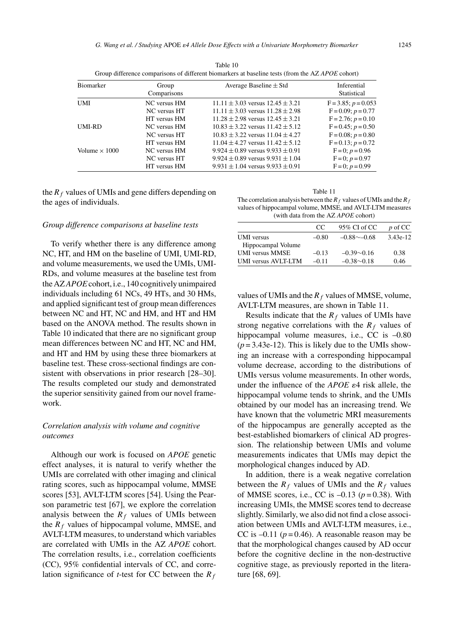|                      |                              | Group difference comparisons of different biomarkers at baseline tests (from the AZ APOE conort) |                                                     |
|----------------------|------------------------------|--------------------------------------------------------------------------------------------------|-----------------------------------------------------|
| Biomarker            | Group<br>Comparisons         | Average Baseline $\pm$ Std                                                                       | Inferential<br>Statistical                          |
| UMI                  | NC versus HM<br>NC versus HT | $11.11 \pm 3.03$ versus $12.45 \pm 3.21$<br>$11.11 \pm 3.03$ versus $11.28 \pm 2.98$             | $F = 3.85$ ; $p = 0.053$<br>$F = 0.09$ ; $p = 0.77$ |
|                      | HT versus HM                 | $11.28 \pm 2.98$ versus $12.45 \pm 3.21$                                                         | $F = 2.76$ ; $p = 0.10$                             |
| UMI-RD               | NC versus HM<br>NC versus HT | $10.83 \pm 3.22$ versus $11.42 \pm 5.12$<br>$10.83 + 3.22$ versus $11.04 + 4.27$                 | $F = 0.45$ ; $p = 0.50$<br>$F = 0.08$ ; $p = 0.80$  |
|                      | HT versus HM                 | $11.04 + 4.27$ versus $11.42 + 5.12$                                                             | $F = 0.13$ ; $p = 0.72$                             |
| Volume $\times$ 1000 | NC versus HM<br>NC versus HT | $9.924 \pm 0.89$ versus $9.933 \pm 0.91$<br>$9.924 \pm 0.89$ versus $9.931 \pm 1.04$             | $F=0$ ; $p=0.96$<br>$F = 0$ ; $p = 0.97$            |
|                      | HT versus HM                 | $9.931 \pm 1.04$ versus $9.933 \pm 0.91$                                                         | $F = 0$ ; $p = 0.99$                                |

Table 10 Group difference comparisons of different biomarkers at baseline tests (from the AZ *APOE* cohort)

the  $R_f$  values of UMIs and gene differs depending on the ages of individuals.

#### *Group difference comparisons at baseline tests*

To verify whether there is any difference among NC, HT, and HM on the baseline of UMI, UMI-RD, and volume measurements, we used the UMIs, UMI-RDs, and volume measures at the baseline test from the AZ*APOE*cohort, i.e., 140 cognitively unimpaired individuals including 61 NCs, 49 HTs, and 30 HMs, and applied significant test of group mean differences between NC and HT, NC and HM, and HT and HM based on the ANOVA method. The results shown in Table 10 indicated that there are no significant group mean differences between NC and HT, NC and HM, and HT and HM by using these three biomarkers at baseline test. These cross-sectional findings are consistent with observations in prior research [28–30]. The results completed our study and demonstrated the superior sensitivity gained from our novel framework.

# *Correlation analysis with volume and cognitive outcomes*

Although our work is focused on *APOE* genetic effect analyses, it is natural to verify whether the UMIs are correlated with other imaging and clinical rating scores, such as hippocampal volume, MMSE scores [53], AVLT-LTM scores [54]. Using the Pearson parametric test [67], we explore the correlation analysis between the  $R_f$  values of UMIs between the  $R_f$  values of hippocampal volume, MMSE, and AVLT-LTM measures, to understand which variables are correlated with UMIs in the AZ *APOE* cohort. The correlation results, i.e., correlation coefficients (CC), 95% confidential intervals of CC, and correlation significance of *t*-test for CC between the *R<sup>f</sup>*

Table 11 The correlation analysis between the  $R_f$  values of UMIs and the  $R_f$ values of hippocampal volume, MMSE, and AVLT-LTM measures (with data from the AZ *APOE* cohort)

|                        | CC.     | 95% CI of CC         | $p \circ f CC$ |
|------------------------|---------|----------------------|----------------|
| <b>UMI</b> versus      | $-0.80$ | $-0.88$ $\sim$ -0.68 | 3.43e-12       |
| Hippocampal Volume     |         |                      |                |
| <b>UMI</b> versus MMSE | $-0.13$ | $-0.39 \sim 0.16$    | 0.38           |
| UMI versus AVLT-LTM    | $-0.11$ | $-0.38 \sim 0.18$    | 0.46           |

values of UMIs and the  $R_f$  values of MMSE, volume, AVLT-LTM measures, are shown in Table 11.

Results indicate that the *R<sup>f</sup>* values of UMIs have strong negative correlations with the  $R_f$  values of hippocampal volume measures, i.e., CC is  $-0.80$  $(p=3.43e-12)$ . This is likely due to the UMIs showing an increase with a corresponding hippocampal volume decrease, according to the distributions of UMIs versus volume measurements. In other words, under the influence of the  $APOE$   $\varepsilon$ 4 risk allele, the hippocampal volume tends to shrink, and the UMIs obtained by our model has an increasing trend. We have known that the volumetric MRI measurements of the hippocampus are generally accepted as the best-established biomarkers of clinical AD progression. The relationship between UMIs and volume measurements indicates that UMIs may depict the morphological changes induced by AD.

In addition, there is a weak negative correlation between the  $R_f$  values of UMIs and the  $R_f$  values of MMSE scores, i.e., CC is  $-0.13$  ( $p = 0.38$ ). With increasing UMIs, the MMSE scores tend to decrease slightly. Similarly, we also did not find a close association between UMIs and AVLT-LTM measures, i.e., CC is  $-0.11$  ( $p = 0.46$ ). A reasonable reason may be that the morphological changes caused by AD occur before the cognitive decline in the non-destructive cognitive stage, as previously reported in the literature [68, 69].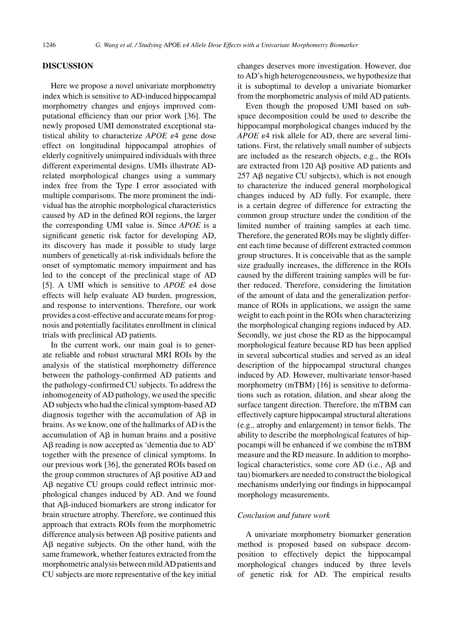## **DISCUSSION**

Here we propose a novel univariate morphometry index which is sensitive to AD-induced hippocampal morphometry changes and enjoys improved computational efficiency than our prior work [36]. The newly proposed UMI demonstrated exceptional statistical ability to characterize *APOE*  $\varepsilon$ 4 gene dose effect on longitudinal hippocampal atrophies of elderly cognitively unimpaired individuals with three different experimental designs. UMIs illustrate ADrelated morphological changes using a summary index free from the Type I error associated with multiple comparisons. The more prominent the individual has the atrophic morphological characteristics caused by AD in the defined ROI regions, the larger the corresponding UMI value is. Since *APOE* is a significant genetic risk factor for developing AD, its discovery has made it possible to study large numbers of genetically at-risk individuals before the onset of symptomatic memory impairment and has led to the concept of the preclinical stage of AD [5]. A UMI which is sensitive to  $APOE$   $\varepsilon$ 4 dose effects will help evaluate AD burden, progression, and response to interventions. Therefore, our work provides a cost-effective and accurate means for prognosis and potentially facilitates enrollment in clinical trials with preclinical AD patients.

In the current work, our main goal is to generate reliable and robust structural MRI ROIs by the analysis of the statistical morphometry difference between the pathology-confirmed AD patients and the pathology-confirmed CU subjects. To address the inhomogeneity of AD pathology, we used the specific AD subjects who had the clinical symptom-based AD diagnosis together with the accumulation of  $\overrightarrow{AB}$  in brains. As we know, one of the hallmarks of AD is the accumulation of  $\overrightarrow{AB}$  in human brains and a positive  $A\beta$  reading is now accepted as 'dementia due to  $AD'$ together with the presence of clinical symptoms. In our previous work [36], the generated ROIs based on the group common structures of  $\overrightarrow{AB}$  positive  $\overrightarrow{AD}$  and  $A\beta$  negative CU groups could reflect intrinsic morphological changes induced by AD. And we found that  $\mathsf{A}\mathsf{B}\text{-induced}$  biomarkers are strong indicator for brain structure atrophy. Therefore, we continued this approach that extracts ROIs from the morphometric difference analysis between  $\overrightarrow{AB}$  positive patients and  $\Delta \beta$  negative subjects. On the other hand, with the same framework, whether features extracted from the morphometric analysis between mild AD patients and CU subjects are more representative of the key initial

changes deserves more investigation. However, due to AD's high heterogeneousness, we hypothesize that it is suboptimal to develop a univariate biomarker from the morphometric analysis of mild AD patients.

Even though the proposed UMI based on subspace decomposition could be used to describe the hippocampal morphological changes induced by the *APOE*  $\varepsilon$ 4 risk allele for AD, there are several limitations. First, the relatively small number of subjects are included as the research objects, e.g., the ROIs are extracted from  $120$  A $\beta$  positive AD patients and  $257$  A $\beta$  negative CU subjects), which is not enough to characterize the induced general morphological changes induced by AD fully. For example, there is a certain degree of difference for extracting the common group structure under the condition of the limited number of training samples at each time. Therefore, the generated ROIs may be slightly different each time because of different extracted common group structures. It is conceivable that as the sample size gradually increases, the difference in the ROIs caused by the different training samples will be further reduced. Therefore, considering the limitation of the amount of data and the generalization performance of ROIs in applications, we assign the same weight to each point in the ROIs when characterizing the morphological changing regions induced by AD. Secondly, we just chose the RD as the hippocampal morphological feature because RD has been applied in several subcortical studies and served as an ideal description of the hippocampal structural changes induced by AD. However, multivariate tensor-based morphometry (mTBM) [16] is sensitive to deformations such as rotation, dilation, and shear along the surface tangent direction. Therefore, the mTBM can effectively capture hippocampal structural alterations (e.g., atrophy and enlargement) in tensor fields. The ability to describe the morphological features of hippocampi will be enhanced if we combine the mTBM measure and the RD measure. In addition to morphological characteristics, some core  $AD$  (i.e.,  $A\beta$  and tau) biomarkers are needed to construct the biological mechanisms underlying our findings in hippocampal morphology measurements.

## *Conclusion and future work*

A univariate morphometry biomarker generation method is proposed based on subspace decomposition to effectively depict the hippocampal morphological changes induced by three levels of genetic risk for AD. The empirical results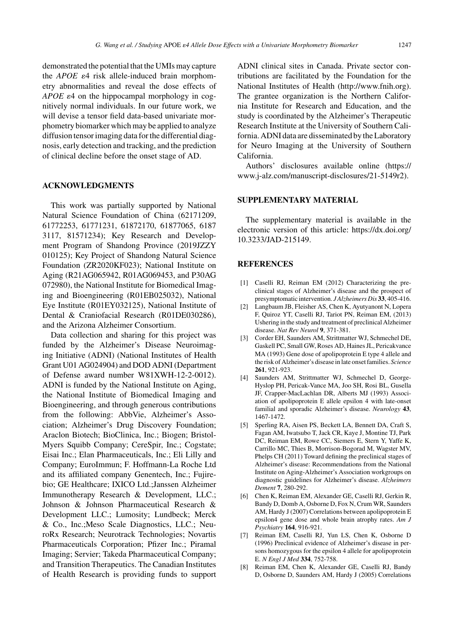demonstrated the potential that the UMIs may capture the  $APOE$   $\varepsilon$ 4 risk allele-induced brain morphometry abnormalities and reveal the dose effects of  $APOE$   $\varepsilon$ 4 on the hippocampal morphology in cognitively normal individuals. In our future work, we will devise a tensor field data-based univariate morphometry biomarker which may be applied to analyze diffusion tensor imaging data for the differential diagnosis, early detection and tracking, and the prediction of clinical decline before the onset stage of AD.

# **ACKNOWLEDGMENTS**

This work was partially supported by National Natural Science Foundation of China (62171209, 61772253, 61771231, 61872170, 61877065, 6187 3117, 81571234); Key Research and Development Program of Shandong Province (2019JZZY 010125); Key Project of Shandong Natural Science Foundation (ZR2020KF023); National Institute on Aging (R21AG065942, R01AG069453, and P30AG 072980), the National Institute for Biomedical Imaging and Bioengineering (R01EB025032), National Eye Institute (R01EY032125), National Institute of Dental & Craniofacial Research (R01DE030286), and the Arizona Alzheimer Consortium.

Data collection and sharing for this project was funded by the Alzheimer's Disease Neuroimaging Initiative (ADNI) (National Institutes of Health Grant U01 AG024904) and DOD ADNI (Department of Defense award number W81XWH-12-2-0012). ADNI is funded by the National Institute on Aging, the National Institute of Biomedical Imaging and Bioengineering, and through generous contributions from the following: AbbVie, Alzheimer's Association; Alzheimer's Drug Discovery Foundation; Araclon Biotech; BioClinica, Inc.; Biogen; Bristol-Myers Squibb Company; CereSpir, Inc.; Cogstate; Eisai Inc.; Elan Pharmaceuticals, Inc.; Eli Lilly and Company; EuroImmun; F. Hoffmann-La Roche Ltd and its affiliated company Genentech, Inc.; Fujirebio; GE Healthcare; IXICO Ltd.;Janssen Alzheimer Immunotherapy Research & Development, LLC.; Johnson & Johnson Pharmaceutical Research & Development LLC.; Lumosity; Lundbeck; Merck & Co., Inc.;Meso Scale Diagnostics, LLC.; NeuroRx Research; Neurotrack Technologies; Novartis Pharmaceuticals Corporation; Pfizer Inc.; Piramal Imaging; Servier; Takeda Pharmaceutical Company; and Transition Therapeutics. The Canadian Institutes of Health Research is providing funds to support ADNI clinical sites in Canada. Private sector contributions are facilitated by the Foundation for the National Institutes of Health [\(http://www.fnih.org](http://www.fnih.org)). The grantee organization is the Northern California Institute for Research and Education, and the study is coordinated by the Alzheimer's Therapeutic Research Institute at the University of Southern California. ADNI data are disseminated by the Laboratory for Neuro Imaging at the University of Southern California.

Authors' disclosures available online [\(https://](https://www.j-alz.com/manuscript-disclosures/21-5149r2) [www.j-alz.com/manuscript-disclosures/21-5149r2\)](https://www.j-alz.com/manuscript-disclosures/21-5149r2).

## **SUPPLEMENTARY MATERIAL**

The supplementary material is available in the electronic version of this article: [https://dx.doi.org/](https://dx.doi.org/10.3233/JAD-215149) [10.3233/JAD-215149.](https://dx.doi.org/10.3233/JAD-215149)

## **REFERENCES**

- [1] Caselli RJ, Reiman EM (2012) Characterizing the preclinical stages of Alzheimer's disease and the prospect of presymptomatic intervention. *J Alzheimers Dis* **33**, 405-416.
- [2] Langbaum JB, Fleisher AS, Chen K, Ayutyanont N, Lopera F, Quiroz YT, Caselli RJ, Tariot PN, Reiman EM, (2013) Ushering in the study and treatment of preclinical Alzheimer disease. *Nat Rev Neurol* **9**, 371-381.
- [3] Corder EH, Saunders AM, Strittmatter WJ, Schmechel DE, Gaskell PC, Small GW, Roses AD, Haines JL, Pericakvance MA (1993) Gene dose of apolipoprotein E type 4 allele and the risk of Alzheimer's disease in late onset families. *Science* **261**, 921-923.
- [4] Saunders AM, Strittmatter WJ, Schmechel D, George-Hyslop PH, Pericak-Vance MA, Joo SH, Rosi BL, Gusella JF, Crapper-MacLachlan DR, Alberts MJ (1993) Association of apolipoprotein E allele epsilon 4 with late-onset familial and sporadic Alzheimer's disease. *Neurology* **43**, 1467-1472.
- [5] Sperling RA, Aisen PS, Beckett LA, Bennett DA, Craft S, Fagan AM, Iwatsubo T, Jack CR, Kaye J, Montine TJ, Park DC, Reiman EM, Rowe CC, Siemers E, Stern Y, Yaffe K, Carrillo MC, Thies B, Morrison-Bogorad M, Wagster MV, Phelps CH (2011) Toward defining the preclinical stages of Alzheimer's disease: Recommendations from the National Institute on Aging-Alzheimer's Association workgroups on diagnostic guidelines for Alzheimer's disease. *Alzheimers Dement* **7**, 280-292.
- [6] Chen K, Reiman EM, Alexander GE, Caselli RJ, Gerkin R, Bandy D, Domb A, Osborne D, Fox N, Crum WR, Saunders AM, Hardy J (2007) Correlations between apolipoprotein E epsilon4 gene dose and whole brain atrophy rates. *Am J Psychiatry* **164**, 916-921.
- [7] Reiman EM, Caselli RJ, Yun LS, Chen K, Osborne D (1996) Preclinical evidence of Alzheimer's disease in persons homozygous for the epsilon 4 allele for apolipoprotein E. *N Engl J Med* **334**, 752-758.
- [8] Reiman EM, Chen K, Alexander GE, Caselli RJ, Bandy D, Osborne D, Saunders AM, Hardy J (2005) Correlations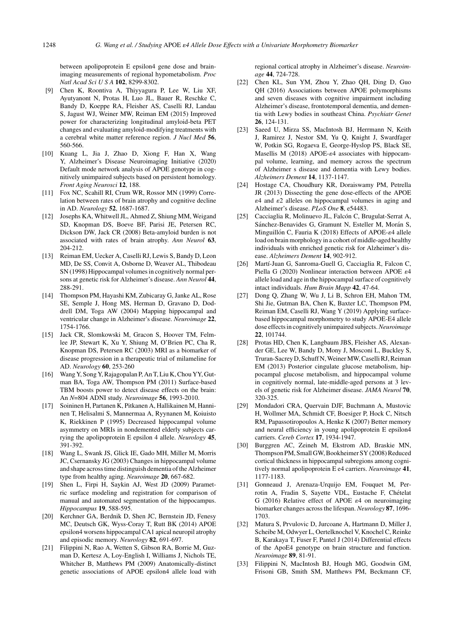between apolipoprotein E epsilon4 gene dose and brainimaging measurements of regional hypometabolism. *Proc Natl Acad SciUSA* **102**, 8299-8302.

- [9] Chen K, Roontiva A, Thiyyagura P, Lee W, Liu XF, Ayutyanont N, Protas H, Luo JL, Bauer R, Reschke C, Bandy D, Koeppe RA, Fleisher AS, Caselli RJ, Landau S, Jagust WJ, Weiner MW, Reiman EM (2015) Improved power for characterizing longitudinal amyloid-beta PET changes and evaluating amyloid-modifying treatments with a cerebral white matter reference region. *J Nucl Med* **56**, 560-566.
- [10] Kuang L, Jia J, Zhao D, Xiong F, Han X, Wang Y, Alzheimer's Disease Neuroimaging Initiative (2020) Default mode network analysis of APOE genotype in cognitively unimpaired subjects based on persistent homology. *Front Aging Neurosci* **12**, 188.
- [11] Fox NC, Scahill RI, Crum WR, Rossor MN (1999) Correlation between rates of brain atrophy and cognitive decline in AD. *Neurology* **52**, 1687-1687.
- [12] Josephs KA, Whitwell JL, Ahmed Z, Shiung MM, Weigand SD, Knopman DS, Boeve BF, Parisi JE, Petersen RC, Dickson DW, Jack CR (2008) Beta-amyloid burden is not associated with rates of brain atrophy. *Ann Neurol* **63**, 204-212.
- [13] Reiman EM, Uecker A, Caselli RJ, Lewis S, Bandy D, Leon MD, De SS, Convit A, Osborne D, Weaver AL, Thibodeau SN (1998) Hippocampal volumes in cognitively normal persons at genetic risk for Alzheimer's disease. *Ann Neurol* **44**, 288-291.
- [14] Thompson PM, Hayashi KM, Zubicaray G, Janke AL, Rose SE, Semple J, Hong MS, Herman D, Gravano D, Doddrell DM, Toga AW (2004) Mapping hippocampal and ventricular change in Alzheimer's disease. *Neuroimage* **22**, 1754-1766.
- [15] Jack CR, Slomkowski M, Gracon S, Hoover TM, Felmlee JP, Stewart K, Xu Y, Shiung M, O'Brien PC, Cha R, Knopman DS, Petersen RC (2003) MRI as a biomarker of disease progression in a therapeutic trial of milameline for AD. *Neurology* **60**, 253-260
- [16] Wang Y, Song Y, Rajagopalan P, An T, Liu K, Chou YY, Gutman BA, Toga AW, Thompson PM (2011) Surface-based TBM boosts power to detect disease effects on the brain: An *N*=804 ADNI study. *Neuroimage* **56**, 1993-2010.
- [17] Soininen H, Partanen K, Pitkanen A, Hallikainen M, Hanninen T, Helisalmi S, Mannermaa A, Ryynanen M, Koiuisto K, Riekkinen P (1995) Decreased hippocampal volume asymmetry on MRIs in nondemented elderly subjects carrying the apolipoprotein E epsilon 4 allele. *Neurology* **45**, 391-392.
- [18] Wang L, Swank JS, Glick IE, Gado MH, Miller M, Morris JC, Csernansky JG (2003) Changes in hippocampal volume and shape across time distinguish dementia of the Alzheimer type from healthy aging. *Neuroimage* **20**, 667-682.
- [19] Shen L, Firpi H, Saykin AJ, West JD (2009) Parametric surface modeling and registration for comparison of manual and automated segmentation of the hippocampus. *Hippocampus* **19**, 588-595.
- [20] Kerchner GA, Berdnik D, Shen JC, Bernstein JD, Fenesy MC, Deutsch GK, Wyss-Coray T, Rutt BK (2014) APOE epsilon4 worsens hippocampal CA1 apical neuropil atrophy and episodic memory. *Neurology* **82**, 691-697.
- [21] Filippini N, Rao A, Wetten S, Gibson RA, Borrie M, Guzman D, Kertesz A, Loy-English I, Williams J, Nichols TE, Whitcher B, Matthews PM (2009) Anatomically-distinct genetic associations of APOE epsilon4 allele load with

regional cortical atrophy in Alzheimer's disease. *Neuroimage* **44**, 724-728.

- [22] Chen KL, Sun YM, Zhou Y, Zhao QH, Ding D, Guo QH (2016) Associations between APOE polymorphisms and seven diseases with cognitive impairment including Alzheimer's disease, frontotemporal dementia, and dementia with Lewy bodies in southeast China. *Psychiatr Genet* **26**, 124-131.
- [23] Saeed U, Mirza SS, MacIntosh BJ, Herrmann N, Keith J, Ramirez J, Nestor SM, Yu Q, Knight J, Swardfager W, Potkin SG, Rogaeva E, George-Hyslop PS, Black SE, Masellis M (2018) APOE- $\varepsilon$ 4 associates with hippocampal volume, learning, and memory across the spectrum of Alzheimer s disease and dementia with Lewy bodies. *Alzheimers Dement* **14**, 1137-1147.
- [24] Hostage CA, Choudhury KR, Doraiswamy PM, Petrella JR (2013) Dissecting the gene dose-effects of the APOE  $\varepsilon$ 4 and  $\varepsilon$ 2 alleles on hippocampal volumes in aging and Alzheimer's disease. *PLoS One* **8**, e54483.
- [25] Cacciaglia R, Molinuevo JL, Falcón C, Brugulat-Serrat A, Sánchez-Benavides G, Gramunt N, Esteller M, Morán S, Minguillón C, Fauria K (2018) Effects of APOE- $\varepsilon$ 4 allele load on brain morphology in a cohort of middle-aged healthy individuals with enriched genetic risk for Alzheimer's disease. *Alzheimers Dement* **14**, 902-912.
- [26] Martí-Juan G, Sanroma-Guell G, Cacciaglia R, Falcon C, Piella G (2020) Nonlinear interaction between APOE  $\varepsilon$ 4 allele load and age in the hippocampal surface of cognitively intact individuals. *Hum Brain Mapp* **42**, 47-64.
- [27] Dong Q, Zhang W, Wu J, Li B, Schron EH, Mahon TM, Shi Jie, Gutman BA, Chen K, Baxter LC, Thompson PM, Reiman EM, Caselli RJ, Wang Y (2019) Applying surfacebased hippocampal morphometry to study APOE-E4 allele dose effects in cognitively unimpaired subjects.*Neuroimage* **22**, 101744.
- [28] Protas HD, Chen K, Langbaum JBS, Fleisher AS, Alexander GE, Lee W, Bandy D, Mony J, Mosconi L, Buckley S, Truran-Sacrey D, Schuff N, Weiner MW, Caselli RJ, Reiman EM (2013) Posterior cingulate glucose metabolism, hippocampal glucose metabolism, and hippocampal volume in cognitively normal, late-middle-aged persons at 3 levels of genetic risk for Alzheimer disease. *JAMA Neurol* **70**, 320-325.
- [29] Mondadori CRA, Quervain DJF, Buchmann A, Mustovic H, Wollmer MA, Schmidt CF, Boesiger P, Hock C, Nitsch RM, Papassotiropoulos A, Henke K (2007) Better memory and neural efficiency in young apolipoprotein E epsilon4 carriers. *Cereb Cortex* **17**, 1934-1947.
- [30] Burggren AC, Zeineh M, Ekstrom AD, Braskie MN, Thompson PM, Small GW, Bookheimer SY (2008) Reduced cortical thickness in hippocampal subregions among cognitively normal apolipoprotein E e4 carriers. *Neuroimage* **41**, 1177-1183.
- [31] Gonneaud J, Arenaza-Urquijo EM, Fouquet M, Perrotin A, Fradin S, Sayette VDL, Eustache F, Chételat G (2016) Relative effect of APOE  $\varepsilon$ 4 on neuroimaging biomarker changes across the lifespan. *Neurology* **87**, 1696- 1703.
- [32] Matura S, Prvulovic D, Jurcoane A, Hartmann D, Miller J, Scheibe M, Odwyer L, Oertelknochel V, Knochel C, Reinke B, Karakaya T, Fuser F, Pantel J (2014) Differential effects of the ApoE4 genotype on brain structure and function. *Neuroimage* **89**, 81-91.
- [33] Filippini N, MacIntosh BJ, Hough MG, Goodwin GM, Frisoni GB, Smith SM, Matthews PM, Beckmann CF,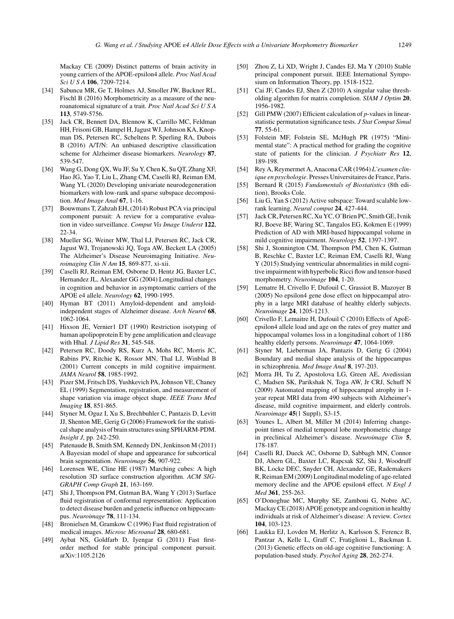Mackay CE (2009) Distinct patterns of brain activity in young carriers of the APOE-epsilon4 allele. *Proc Natl Acad Sci U S A* **106**, 7209-7214.

- [34] Sabuncu MR, Ge T, Holmes AJ, Smoller JW, Buckner RL, Fischl B (2016) Morphometricity as a measure of the neuroanatomical signature of a trait. *Proc Natl Acad SciUSA* **113**, 5749-5756.
- [35] Jack CR, Bennett DA, Blennow K, Carrillo MC, Feldman HH, Frisoni GB, Hampel H, Jagust WJ, Johnson KA, Knopman DS, Petersen RC, Scheltens P, Sperling RA, Dubois B (2016) A/T/N: An unbiased descriptive classification scheme for Alzheimer disease biomarkers. *Neurology* **87**, 539-547.
- [36] Wang G, Dong QX, Wu JF, Su Y, Chen K, Su QT, Zhang XF, Hao JG, Yao T, Liu L, Zhang CM, Caselli RJ, Reiman EM, Wang YL (2020) Developing univariate neurodegeneration biomarkers with low-rank and sparse subspace decomposition. *Med Image Anal* **67**, 1-16.
- [37] Bouwmans T, Zahzah EH, (2014) Robust PCA via principal component pursuit: A review for a comparative evaluation in video surveillance. *Comput Vis Image Underst* **122**, 22-34.
- [38] Mueller SG, Weiner MW, Thal LJ, Petersen RC, Jack CR, Jagust WJ, Trojanowski JQ, Toga AW, Beckett LA (2005) The Alzheimer's Disease Neuroimaging Initiative. *Neuroimaging Clin N Am* **15**, 869-877, xi-xii.
- [39] Caselli RJ, Reiman EM, Osborne D, Hentz JG, Baxter LC, Hernandez JL, Alexander GG (2004) Longitudinal changes in cognition and behavior in asymptomatic carriers of the APOE e4 allele. *Neurology* **62**, 1990-1995.
- [40] Hyman BT (2011) Amyloid-dependent and amyloidindependent stages of Alzheimer disease. *Arch Neurol* **68**, 1062-1064.
- [41] Hixson JE, Vernier1 DT (1990) Restriction isotyping of human apolipoprotein E by gene amplification and cleavage with HhaI. *J Lipid Res* **31**, 545-548.
- [42] Petersen RC, Doody RS, Kurz A, Mohs RC, Morris JC, Rabins PV, Ritchie K, Rossor MN, Thal LJ, Winblad B (2001) Current concepts in mild cognitive impairment. *JAMA Neurol* **58**, 1985-1992.
- [43] Pizer SM, Fritsch DS, Yushkevich PA, Johnson VE, Chaney EL (1999) Segmentation, registration, and measurement of shape variation via image object shape. *IEEE Trans Med Imaging* **18**, 851-865.
- [44] Styner M, Oguz I, Xu S, Brechbuhler C, Pantazis D, Levitt JJ, Shenton ME, Gerig G (2006) Framework for the statistical shape analysis of brain structures using SPHARM-PDM. *Insight J*, pp. 242-250.
- [45] Patenaude B, Smith SM, Kennedy DN, Jenkinson M (2011) A Bayesian model of shape and appearance for subcortical brain segmentation. *Neuroimage* **56**, 907-922.
- [46] Lorensen WE, Cline HE (1987) Marching cubes: A high resolution 3D surface construction algorithm. *ACM SIG-GRAPH Comp Graph* **21**, 163-169.
- [47] Shi J, Thompson PM, Gutman BA, Wang Y (2013) Surface fluid registration of conformal representation: Application to detect disease burden and genetic influence on hippocampus. *Neuroimage* **78**, 111-134.
- [48] Bronielsen M, Gramkow C (1996) Fast fluid registration of medical images. *Microsc Microanal* **28**, 680-681.
- [49] Aybat NS, Goldfarb D, Iyengar G (2011) Fast firstorder method for stable principal component pursuit. arXiv:1105.2126
- [50] Zhou Z, Li XD, Wright J, Candes EJ, Ma Y (2010) Stable principal component pursuit. IEEE International Symposium on Information Theory, pp. 1518-1522.
- [51] Cai JF, Candes EJ, Shen Z (2010) A singular value thresholding algorithm for matrix completion. *SIAM J Optim* **20**, 1956-1982.
- [52] Gill PMW (2007) Efficient calculation of *p*-values in linearstatistic permutation significance tests. *J Stat Comput Simul* **77**, 55-61.
- [53] Folstein MF, Folstein SE, McHugh PR (1975) "Minimental state": A practical method for grading the cognitive state of patients for the clinician. *J Psychiatr Res* **12**, 189-198.
- [54] Rey A, Reymermet A, Anacona CAR (1964) *L'examen clinique en psychologie*. Presses Universitaires de France, Paris.
- [55] Bernard R (2015) *Fundamentals of Biostatistics* (8th edition), Brooks Cole.
- [56] Liu G, Yan S (2012) Active subspace: Toward scalable lowrank learning. *Neural comput* **24**, 427-444.
- [57] Jack CR, Petersen RC, Xu YC, O'Brien PC, Smith GE, Ivnik RJ, Boeve BF, Waring SC, Tangalos EG, Kokmen E (1999) Prediction of AD with MRI-based hippocampal volume in mild cognitive impairment. *Neurology* **52**, 1397-1397.
- [58] Shi J, Stonnington CM, Thompson PM, Chen K, Gutman B, Reschke C, Baxter LC, Reiman EM, Caselli RJ, Wang Y (2015) Studying ventricular abnormalities in mild cognitive impairment with hyperbolic Ricci flow and tensor-based morphometry. *Neuroimage* **104**, 1-20.
- [59] Lematre H, Crivello F, Dufouil C, Grassiot B, Mazoyer B (2005) No epsilon4 gene dose effect on hippocampal atrophy in a large MRI database of healthy elderly subjects. *Neuroimage* **24**, 1205-1213.
- [60] Crivello F, Lemaitre H, Dufouil C (2010) Effects of ApoEepsilon4 allele load and age on the rates of grey matter and hippocampal volumes loss in a longitudinal cohort of 1186 healthy elderly persons. *Neuroimage* **47**, 1064-1069.
- [61] Styner M, Lieberman JA, Pantazis D, Gerig G (2004) Boundary and medial shape analysis of the hippocampus in schizophrenia. *Med Image Anal* **8**, 197-203.
- [62] Morra JH, Tu Z, Apostolova LG, Green AE, Avedissian C, Madsen SK, Parikshak N, Toga AW, Jr CRJ, Schuff N (2009) Automated mapping of hippocampal atrophy in 1 year repeat MRI data from 490 subjects with Alzheimer's disease, mild cognitive impairment, and elderly controls. *Neuroimage* **45**(1 Suppl), S3-15.
- [63] Younes L, Albert M, Miller M (2014) Inferring changepoint times of medial temporal lobe morphometric change in preclinical Alzheimer's disease. *Neuroimage Clin* **5**, 178-187.
- [64] Caselli RJ, Dueck AC, Osborne D, Sabbagh MN, Connor DJ, Ahern GL, Baxter LC, Rapcsak SZ, Shi J, Woodruff BK, Locke DEC, Snyder CH, Alexander GE, Rademakers R, Reiman EM (2009) Longitudinal modeling of age-related memory decline and the APOE epsilon4 effect. *N Engl J Med* **361**, 255-263.
- [65] O'Donoghue MC, Murphy SE, Zamboni G, Nobre AC, Mackay CE (2018) APOE genotype and cognition in healthy individuals at risk of Alzheimer's disease: A review. *Cortex* **104**, 103-123.
- [66] Laukka EJ, Lovden M, Herlitz A, Karlsson S, Ferencz B, Pantzar A, Kelle L, Graff C, Fratiglioni L, Backman L (2013) Genetic effects on old-age cognitive functioning: A population-based study. *Psychol Aging* **28**, 262-274.